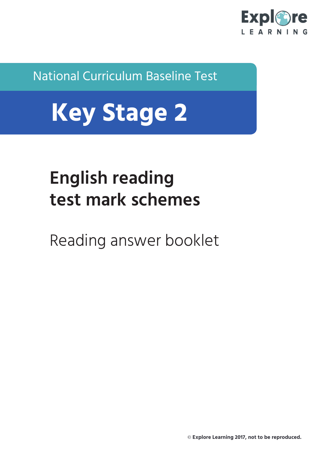

National Curriculum Baseline Test



# **English reading test mark schemes**

Reading answer booklet

© **Explore Learning 2017, not to be reproduced.**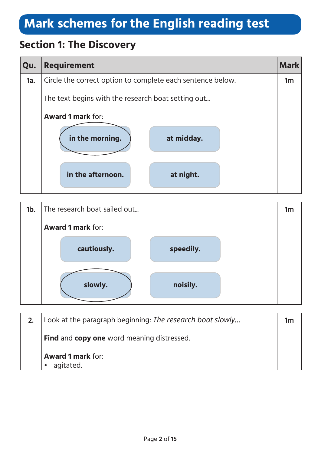# **Mark schemes for the English reading test**

## **Section 1: The Discovery**





| Look at the paragraph beginning: The research boat slowly | 1 <sub>m</sub> |
|-----------------------------------------------------------|----------------|
| Find and copy one word meaning distressed.                |                |
| <b>Award 1 mark for:</b><br>agitated.                     |                |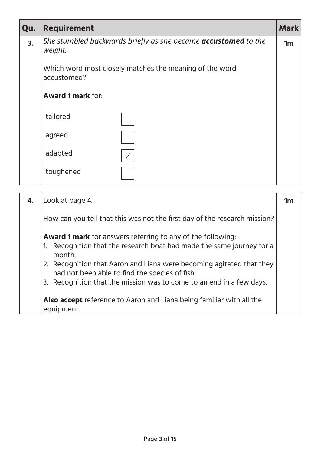| Qu. | <b>Requirement</b>       |                                                                | <b>Mark</b>    |
|-----|--------------------------|----------------------------------------------------------------|----------------|
| 3.  | weight.                  | She stumbled backwards briefly as she became accustomed to the | 1 <sub>m</sub> |
|     | accustomed?              | Which word most closely matches the meaning of the word        |                |
|     | <b>Award 1 mark for:</b> |                                                                |                |
|     | tailored                 |                                                                |                |
|     | agreed                   |                                                                |                |
|     | adapted                  |                                                                |                |
|     | toughened                |                                                                |                |

| 4. | Look at page 4.                                                                                                                                                                                                                                                                                                                                                                                                                           | 1 <sub>m</sub> |
|----|-------------------------------------------------------------------------------------------------------------------------------------------------------------------------------------------------------------------------------------------------------------------------------------------------------------------------------------------------------------------------------------------------------------------------------------------|----------------|
|    | How can you tell that this was not the first day of the research mission?                                                                                                                                                                                                                                                                                                                                                                 |                |
|    | <b>Award 1 mark</b> for answers referring to any of the following:<br>Recognition that the research boat had made the same journey for a<br>month.<br>2. Recognition that Aaron and Liana were becoming agitated that they<br>had not been able to find the species of fish<br>3. Recognition that the mission was to come to an end in a few days.<br>Also accept reference to Aaron and Liana being familiar with all the<br>equipment. |                |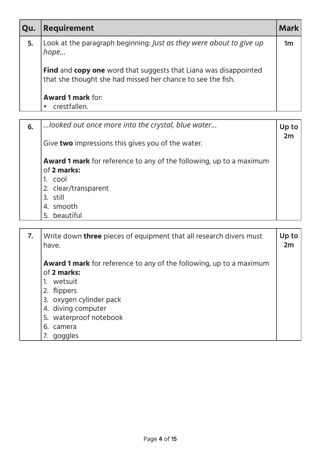| Qu. | <b>Requirement</b>                                                                                                                     | Mark |
|-----|----------------------------------------------------------------------------------------------------------------------------------------|------|
| 5.  | Look at the paragraph beginning: Just as they were about to give up<br>hope                                                            |      |
|     | <b>Find and copy one</b> word that suggests that Liana was disappointed<br>that she thought she had missed her chance to see the fish. |      |
|     | <b>Award 1 mark for:</b><br>crestfallen.                                                                                               |      |

| 6. | looked out once more into the crystal, blue water                                                 | Up to |
|----|---------------------------------------------------------------------------------------------------|-------|
|    | Give <b>two</b> impressions this gives you of the water.                                          |       |
|    | <b>Award 1 mark</b> for reference to any of the following, up to a maximum<br>of 2 marks:<br>cool |       |
|    | 2. clear/transparent                                                                              |       |
|    | 3. still                                                                                          |       |
|    | 4. smooth                                                                                         |       |
|    | beautiful<br>5.                                                                                   |       |

| 7. | Write down <b>three</b> pieces of equipment that all research divers must<br>have.        | Up to |
|----|-------------------------------------------------------------------------------------------|-------|
|    | <b>Award 1 mark</b> for reference to any of the following, up to a maximum<br>of 2 marks: |       |
|    | wetsuit                                                                                   |       |
|    | flippers<br>2.                                                                            |       |
|    | oxygen cylinder pack<br>3.                                                                |       |
|    | diving computer<br>4.                                                                     |       |
|    | waterproof notebook<br>5.                                                                 |       |
|    | 6.<br>camera                                                                              |       |
|    | goggles                                                                                   |       |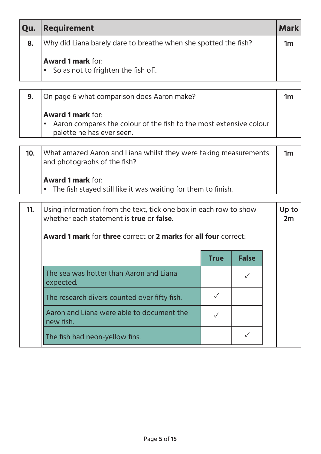| Qu. | <b>Requirement</b>                                                                                                                       |              |              | <b>Mark</b>    |
|-----|------------------------------------------------------------------------------------------------------------------------------------------|--------------|--------------|----------------|
| 8.  | Why did Liana barely dare to breathe when she spotted the fish?                                                                          |              |              |                |
|     | <b>Award 1 mark for:</b><br>So as not to frighten the fish off.                                                                          |              |              |                |
| 9.  | On page 6 what comparison does Aaron make?                                                                                               |              |              | 1 <sub>m</sub> |
|     | <b>Award 1 mark for:</b><br>Aaron compares the colour of the fish to the most extensive colour<br>$\bullet$<br>palette he has ever seen. |              |              |                |
| 10. | What amazed Aaron and Liana whilst they were taking measurements<br>and photographs of the fish?                                         |              |              |                |
|     | <b>Award 1 mark for:</b><br>The fish stayed still like it was waiting for them to finish.                                                |              |              |                |
| 11. | Using information from the text, tick one box in each row to show<br>whether each statement is <b>true</b> or <b>false</b> .             |              |              | Up to<br>2m    |
|     | <b>Award 1 mark for three correct or 2 marks for all four correct:</b>                                                                   |              |              |                |
|     |                                                                                                                                          | <b>True</b>  | <b>False</b> |                |
|     | The sea was hotter than Aaron and Liana<br>expected.                                                                                     |              | $\checkmark$ |                |
|     | The research divers counted over fifty fish.                                                                                             | $\checkmark$ |              |                |
|     | Aaron and Liana were able to document the<br>new fish.                                                                                   | $\sqrt{}$    |              |                |
|     | The fish had neon-yellow fins.                                                                                                           |              | $\checkmark$ |                |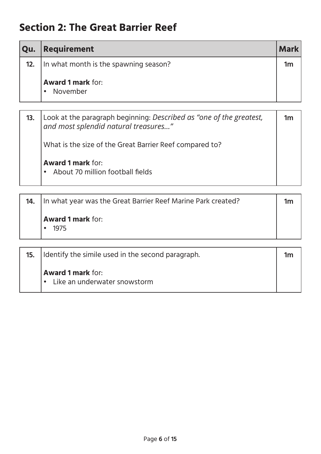# **Section 2: The Great Barrier Reef**

| Qu. | Requirement                           | <b>Mark</b> |
|-----|---------------------------------------|-------------|
| 12. | In what month is the spawning season? | 1m          |
|     | <b>Award 1 mark for:</b><br>November  |             |

| 13. | Look at the paragraph beginning: Described as "one of the greatest,<br>$\vert$ and most splendid natural treasures" | 1m |
|-----|---------------------------------------------------------------------------------------------------------------------|----|
|     | What is the size of the Great Barrier Reef compared to?                                                             |    |
|     | <b>Award 1 mark for:</b><br>About 70 million football fields                                                        |    |

| 14. | In what year was the Great Barrier Reef Marine Park created? |  |
|-----|--------------------------------------------------------------|--|
|     | <b>Award 1 mark</b> for:<br>1975                             |  |

| 15. | I Identify the simile used in the second paragraph.        |  |
|-----|------------------------------------------------------------|--|
|     | <b>Award 1 mark</b> for:<br>. Like an underwater snowstorm |  |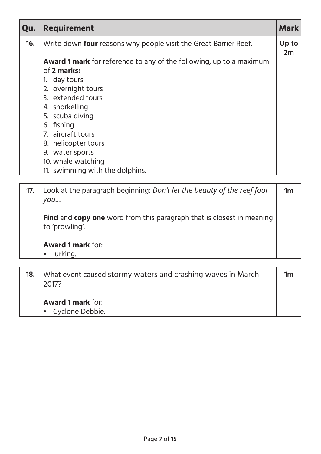| Qu. | Requirement                                                                | <b>Mark</b>    |
|-----|----------------------------------------------------------------------------|----------------|
| 16. | Write down four reasons why people visit the Great Barrier Reef.           | Up to<br>2m    |
|     | <b>Award 1 mark</b> for reference to any of the following, up to a maximum |                |
|     | of 2 marks:                                                                |                |
|     | day tours                                                                  |                |
|     | 2. overnight tours                                                         |                |
|     | 3. extended tours                                                          |                |
|     | 4. snorkelling                                                             |                |
|     | 5. scuba diving                                                            |                |
|     | 6. fishing                                                                 |                |
|     | 7. aircraft tours                                                          |                |
|     | 8. helicopter tours                                                        |                |
|     | 9. water sports                                                            |                |
|     | 10. whale watching                                                         |                |
|     | 11. swimming with the dolphins.                                            |                |
|     |                                                                            |                |
| 17. | Look at the paragraph beginning: Don't let the beauty of the reef fool     | 1 <sub>m</sub> |
|     | you                                                                        |                |
|     |                                                                            |                |

**Find** and **copy one** word from this paragraph that is closest in meaning to 'prowling'.

#### **Award 1 mark** for:

• lurking.

| 18. | What event caused stormy waters and crashing waves in March<br>2017? | 1 <sub>m</sub> |
|-----|----------------------------------------------------------------------|----------------|
|     | <b>Award 1 mark</b> for:<br>Cyclone Debbie.                          |                |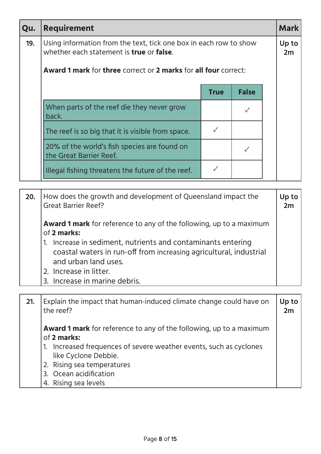| Qu. | <b>Requirement</b>                                                                                                           |             |              | <b>Mark</b> |
|-----|------------------------------------------------------------------------------------------------------------------------------|-------------|--------------|-------------|
| 19. | Using information from the text, tick one box in each row to show<br>whether each statement is <b>true</b> or <b>false</b> . |             |              | Up to<br>2m |
|     | <b>Award 1 mark for three correct or 2 marks for all four correct:</b>                                                       |             |              |             |
|     |                                                                                                                              | <b>True</b> | <b>False</b> |             |
|     | When parts of the reef die they never grow<br>back.                                                                          |             |              |             |
|     | The reef is so big that it is visible from space.                                                                            |             |              |             |
|     | 20% of the world's fish species are found on<br>the Great Barrier Reef.                                                      |             |              |             |
|     | Illegal fishing threatens the future of the reef.                                                                            |             |              |             |

| 20. | How does the growth and development of Queensland impact the<br><b>Great Barrier Reef?</b>                                                                                        | Up to<br>2m |
|-----|-----------------------------------------------------------------------------------------------------------------------------------------------------------------------------------|-------------|
|     | <b>Award 1 mark</b> for reference to any of the following, up to a maximum<br>of 2 marks:                                                                                         |             |
|     | Increase in sediment, nutrients and contaminants entering<br>coastal waters in run-off from increasing agricultural, industrial<br>and urban land uses.<br>2. Increase in litter. |             |
|     | 3. Increase in marine debris.                                                                                                                                                     |             |

| 21. | Explain the impact that human-induced climate change could have on<br>the reef?                          | Up to |
|-----|----------------------------------------------------------------------------------------------------------|-------|
|     | <b>Award 1 mark</b> for reference to any of the following, up to a maximum<br>of 2 marks:                |       |
|     | Increased frequences of severe weather events, such as cyclones<br>$\mathcal{L}$<br>like Cyclone Debbie. |       |
|     | 2. Rising sea temperatures                                                                               |       |
|     | 3. Ocean acidification                                                                                   |       |
|     | 4. Rising sea levels                                                                                     |       |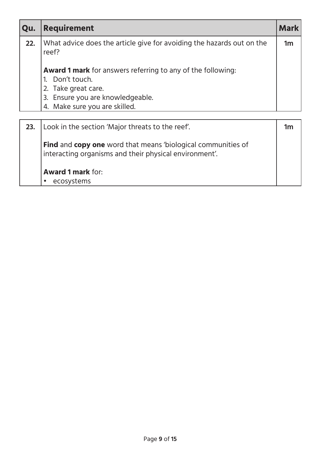| Qu. | <b>Requirement</b>                                                                                                                                                                | <b>Mark</b>    |
|-----|-----------------------------------------------------------------------------------------------------------------------------------------------------------------------------------|----------------|
| 22. | What advice does the article give for avoiding the hazards out on the<br>reef?                                                                                                    | 1 <sub>m</sub> |
|     | <b>Award 1 mark</b> for answers referring to any of the following:<br>Don't touch.<br>Take great care.<br>2.<br>3. Ensure you are knowledgeable.<br>4. Make sure you are skilled. |                |
| 23. | Look in the section 'Major threats to the reef'.                                                                                                                                  | 1m             |
|     | <b>Find and copy one</b> word that means 'biological communities of                                                                                                               |                |

interacting organisms and their physical environment'.

**Award 1 mark** for:

• ecosystems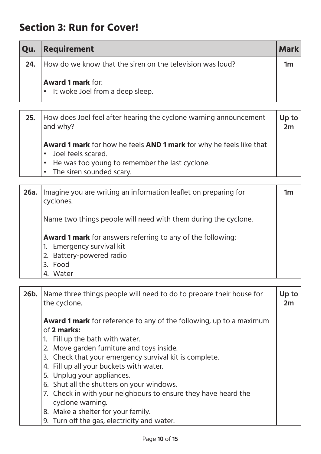# **Section 3: Run for Cover!**

| Qu. | <b>Requirement</b>                                          | <b>Mark</b> |
|-----|-------------------------------------------------------------|-------------|
| 24. | How do we know that the siren on the television was loud?   | 1m          |
|     | <b>Award 1 mark for:</b><br>It woke Joel from a deep sleep. |             |

| 25. | How does Joel feel after hearing the cyclone warning announcement<br>and why?                                                                                                                                   | Up to<br>2m |
|-----|-----------------------------------------------------------------------------------------------------------------------------------------------------------------------------------------------------------------|-------------|
|     | <b>Award 1 mark</b> for how he feels <b>AND 1 mark</b> for why he feels like that<br>Joel feels scared.<br>$\bullet$<br>He was too young to remember the last cyclone.<br>The siren sounded scary.<br>$\bullet$ |             |

| 26a. | Imagine you are writing an information leaflet on preparing for<br>cyclones.                                         | 1m |
|------|----------------------------------------------------------------------------------------------------------------------|----|
|      | Name two things people will need with them during the cyclone.                                                       |    |
|      | Award 1 mark for answers referring to any of the following:<br>Emergency survival kit<br>Battery-powered radio<br>2. |    |
|      | 3. Food<br>Water                                                                                                     |    |

| 26b. | Name three things people will need to do to prepare their house for<br>the cyclone. | Up to |
|------|-------------------------------------------------------------------------------------|-------|
|      | <b>Award 1 mark</b> for reference to any of the following, up to a maximum          |       |
|      | of 2 marks:                                                                         |       |
|      | Fill up the bath with water.<br>1.                                                  |       |
|      | Move garden furniture and toys inside.<br>2.                                        |       |
|      | 3. Check that your emergency survival kit is complete.                              |       |
|      | 4. Fill up all your buckets with water.                                             |       |
|      | 5. Unplug your appliances.                                                          |       |
|      | 6. Shut all the shutters on your windows.                                           |       |
|      | 7. Check in with your neighbours to ensure they have heard the                      |       |
|      | cyclone warning.                                                                    |       |
|      | 8. Make a shelter for your family.                                                  |       |
|      | 9. Turn off the gas, electricity and water.                                         |       |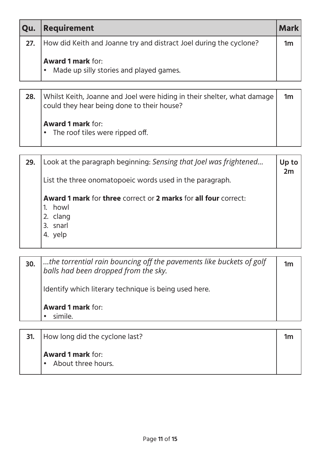| Qu. | <b>Requirement</b>                                                                                                    | <b>Mark</b>    |
|-----|-----------------------------------------------------------------------------------------------------------------------|----------------|
| 27. | How did Keith and Joanne try and distract Joel during the cyclone?                                                    |                |
|     | <b>Award 1 mark for:</b><br>Made up silly stories and played games.                                                   |                |
|     |                                                                                                                       |                |
| 28. | Whilst Keith, Joanne and Joel were hiding in their shelter, what damage<br>could they hear being done to their house? | 1 <sub>m</sub> |

### **Award 1 mark** for:

• The roof tiles were ripped off.

| 29. | Look at the paragraph beginning: Sensing that Joel was frightened                                          | Up to |
|-----|------------------------------------------------------------------------------------------------------------|-------|
|     | List the three onomatopoeic words used in the paragraph.                                                   |       |
|     | Award 1 mark for three correct or 2 marks for all four correct:<br>howl<br>clang<br>3. snarl<br>yelp<br>4. |       |

| 30. | the torrential rain bouncing off the pavements like buckets of golf<br>$^\dagger$ balls had been dropped from the sky. |  |
|-----|------------------------------------------------------------------------------------------------------------------------|--|
|     | Identify which literary technique is being used here.                                                                  |  |
|     | <b>Award 1 mark for:</b><br>simile.                                                                                    |  |

| 31. | How long did the cyclone last?                 |  |
|-----|------------------------------------------------|--|
|     | <b>Award 1 mark</b> for:<br>About three hours. |  |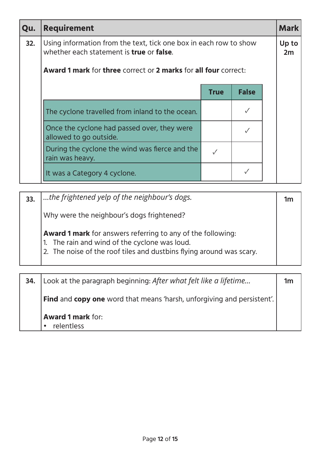| Qu. | <b>Requirement</b>                                                                                                           |             |              |  | <b>Mark</b> |
|-----|------------------------------------------------------------------------------------------------------------------------------|-------------|--------------|--|-------------|
| 32. | Using information from the text, tick one box in each row to show<br>whether each statement is <b>true</b> or <b>false</b> . |             |              |  | Up to<br>2m |
|     | <b>Award 1 mark for three correct or 2 marks for all four correct:</b>                                                       |             |              |  |             |
|     |                                                                                                                              | <b>True</b> | <b>False</b> |  |             |
|     | The cyclone travelled from inland to the ocean.                                                                              |             |              |  |             |
|     | Once the cyclone had passed over, they were<br>allowed to go outside.                                                        |             |              |  |             |
|     | During the cyclone the wind was fierce and the<br>rain was heavy.                                                            |             |              |  |             |
|     | It was a Category 4 cyclone.                                                                                                 |             |              |  |             |
|     | the frightened velp of the neighbour's dogs.                                                                                 |             |              |  |             |

| 33. | the frightened yelp of the neighbour's dogs.                                                                                                                                                |  |
|-----|---------------------------------------------------------------------------------------------------------------------------------------------------------------------------------------------|--|
|     | Why were the neighbour's dogs frightened?                                                                                                                                                   |  |
|     | <b>Award 1 mark</b> for answers referring to any of the following:<br>1. The rain and wind of the cyclone was loud.<br>2. The noise of the roof tiles and dustbins flying around was scary. |  |

| 34. | Look at the paragraph beginning: After what felt like a lifetime       | 1 <sub>m</sub> |
|-----|------------------------------------------------------------------------|----------------|
|     | Find and copy one word that means 'harsh, unforgiving and persistent'. |                |
|     | <b>Award 1 mark for:</b><br><b>relentless</b>                          |                |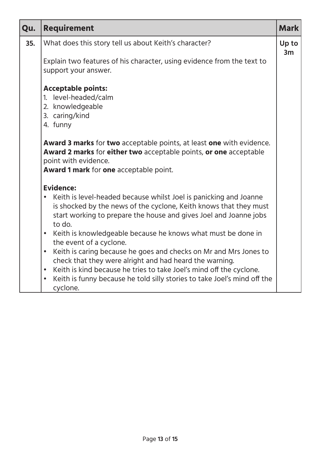| Qu. | <b>Requirement</b>                                                                                                                                                                                                                                                                                                                                                                                                                                                                                                                                                                                                                                                                                   | <b>Mark</b> |
|-----|------------------------------------------------------------------------------------------------------------------------------------------------------------------------------------------------------------------------------------------------------------------------------------------------------------------------------------------------------------------------------------------------------------------------------------------------------------------------------------------------------------------------------------------------------------------------------------------------------------------------------------------------------------------------------------------------------|-------------|
| 35. | What does this story tell us about Keith's character?                                                                                                                                                                                                                                                                                                                                                                                                                                                                                                                                                                                                                                                | Up to<br>3m |
|     | Explain two features of his character, using evidence from the text to<br>support your answer.                                                                                                                                                                                                                                                                                                                                                                                                                                                                                                                                                                                                       |             |
|     | <b>Acceptable points:</b><br>1. level-headed/calm<br>2. knowledgeable<br>3. caring/kind<br>4. funny                                                                                                                                                                                                                                                                                                                                                                                                                                                                                                                                                                                                  |             |
|     | <b>Award 3 marks</b> for two acceptable points, at least one with evidence.<br>Award 2 marks for either two acceptable points, or one acceptable<br>point with evidence.<br>Award 1 mark for one acceptable point.                                                                                                                                                                                                                                                                                                                                                                                                                                                                                   |             |
|     | <b>Evidence:</b><br>Keith is level-headed because whilst Joel is panicking and Joanne<br>$\bullet$<br>is shocked by the news of the cyclone, Keith knows that they must<br>start working to prepare the house and gives Joel and Joanne jobs<br>to do.<br>Keith is knowledgeable because he knows what must be done in<br>$\bullet$<br>the event of a cyclone.<br>Keith is caring because he goes and checks on Mr and Mrs Jones to<br>$\bullet$<br>check that they were alright and had heard the warning.<br>Keith is kind because he tries to take Joel's mind off the cyclone.<br>$\bullet$<br>Keith is funny because he told silly stories to take Joel's mind off the<br>$\bullet$<br>cyclone. |             |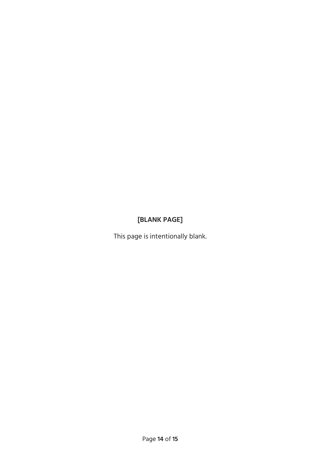#### **[BLANK PAGE]**

This page is intentionally blank.